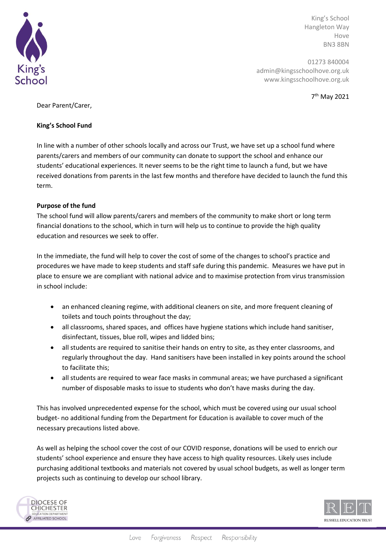

King's School Hangleton Way Hove BN3 8BN

01273 840004 admin@kingsschoolhove.org.uk www.kingsschoolhove.org.uk

7 th May 2021

Dear Parent/Carer,

## **King's School Fund**

In line with a number of other schools locally and across our Trust, we have set up a school fund where parents/carers and members of our community can donate to support the school and enhance our students' educational experiences. It never seems to be the right time to launch a fund, but we have received donations from parents in the last few months and therefore have decided to launch the fund this term.

# **Purpose of the fund**

The school fund will allow parents/carers and members of the community to make short or long term financial donations to the school, which in turn will help us to continue to provide the high quality education and resources we seek to offer.

In the immediate, the fund will help to cover the cost of some of the changes to school's practice and procedures we have made to keep students and staff safe during this pandemic. Measures we have put in place to ensure we are compliant with national advice and to maximise protection from virus transmission in school include:

- an enhanced cleaning regime, with additional cleaners on site, and more frequent cleaning of toilets and touch points throughout the day;
- all classrooms, shared spaces, and offices have hygiene stations which include hand sanitiser, disinfectant, tissues, blue roll, wipes and lidded bins;
- all students are required to sanitise their hands on entry to site, as they enter classrooms, and regularly throughout the day. Hand sanitisers have been installed in key points around the school to facilitate this;
- all students are required to wear face masks in communal areas; we have purchased a significant number of disposable masks to issue to students who don't have masks during the day.

This has involved unprecedented expense for the school, which must be covered using our usual school budget- no additional funding from the Department for Education is available to cover much of the necessary precautions listed above.

As well as helping the school cover the cost of our COVID response, donations will be used to enrich our students' school experience and ensure they have access to high quality resources. Likely uses include purchasing additional textbooks and materials not covered by usual school budgets, as well as longer term projects such as continuing to develop our school library.